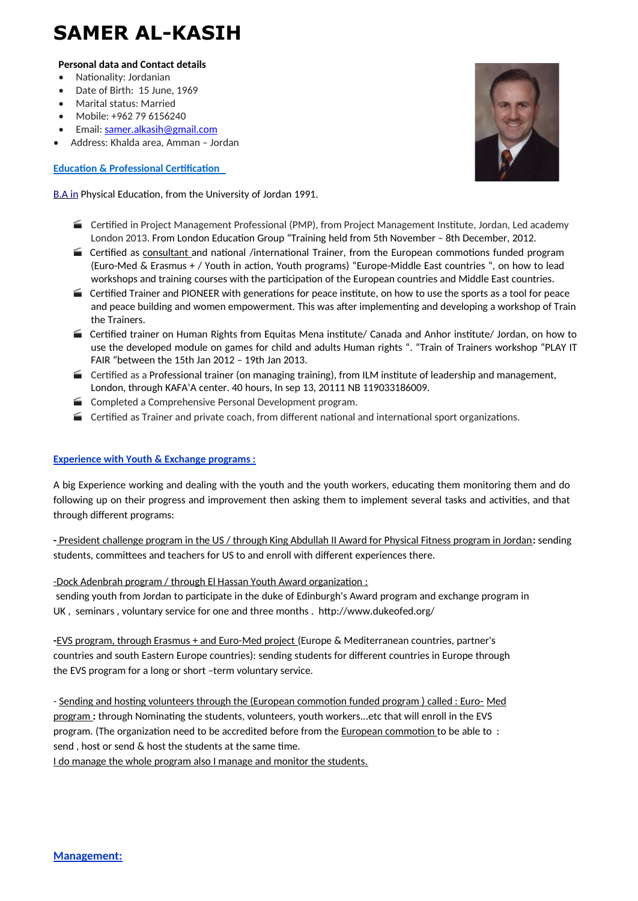# **SAMER AL-KASIH**

#### **Personal data and Contact details**

- Nationality: Jordanian
- Date of Birth: 15 June, 1969
- Marital status: Married
- Mobile: +962 79 6156240
- Email: [samer.alkasih@gmail.com](mailto:samer.alkasih@gmail.com)
- Address: Khalda area, Amman Jordan

# **Education & Professional Certification**

 [B.A in](http://b.sc/) Physical Education, from the University of Jordan 1991.

- Certified in Project Management Professional (PMP), from Project Management Institute, Jordan, Led academy London 2013. From London Education Group "Training held from 5th November – 8th December, 2012.
- Certified as consultant and national /international Trainer, from the European commotions funded program (Euro-Med & Erasmus + / Youth in action, Youth programs) "Europe-Middle East countries ", on how to lead workshops and training courses with the participation of the European countries and Middle East countries.
- $\blacksquare$  Certified Trainer and PIONEER with generations for peace institute, on how to use the sports as a tool for peace and peace building and women empowerment. This was after implementing and developing a workshop of Train the Trainers.
- Certified trainer on Human Rights from Equitas Mena institute/ Canada and Anhor institute/ Jordan, on how to use the developed module on games for child and adults Human rights ". "Train of Trainers workshop "PLAY IT FAIR "between the 15th Jan 2012 – 19th Jan 2013.
- Certified as a Professional trainer (on managing training), from ILM institute of leadership and management, London, through KAFA'A center. 40 hours, In sep 13, 20111 NB 119033186009.
- Completed a Comprehensive Personal Development program.
- $\blacksquare$  Certified as Trainer and private coach, from different national and international sport organizations.

## **Experience with Youth & Exchange programs :**

A big Experience working and dealing with the youth and the youth workers, educating them monitoring them and do following up on their progress and improvement then asking them to implement several tasks and activities, and that through different programs:

**-** President challenge program in the US / through King Abdullah II Award for Physical Fitness program in Jordan**:** sending students, committees and teachers for US to and enroll with different experiences there.

-Dock Adenbrah program / through El Hassan Youth Award organization :

sending youth from Jordan to participate in the duke of Edinburgh's Award program and exchange program in UK , seminars , voluntary service for one and three months . http://www.dukeofed.org/

**-**EVS program, through Erasmus + and Euro-Med project (Europe & Mediterranean countries, partner's countries and south Eastern Europe countries): sending students for different countries in Europe through the EVS program for a long or short –term voluntary service.

- Sending and hosting volunteers through the (European commotion funded program ) called : Euro- Med program **:** through Nominating the students, volunteers, youth workers...etc that will enroll in the EVS program. (The organization need to be accredited before from the European commotion to be able to : send , host or send & host the students at the same time.

I do manage the whole program also I manage and monitor the students.

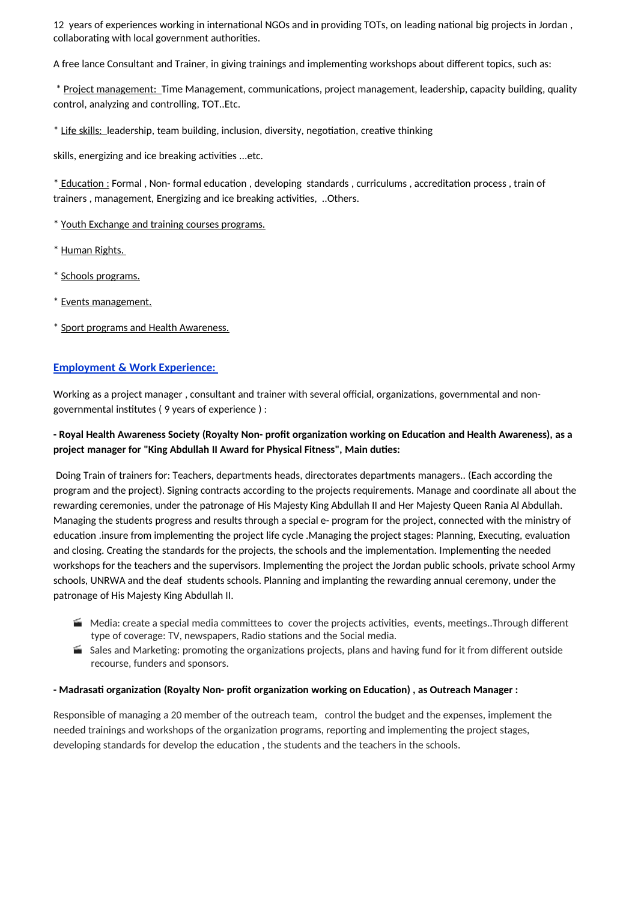12 years of experiences working in international NGOs and in providing TOTs, on leading national big projects in Jordan , collaborating with local government authorities.

A free lance Consultant and Trainer, in giving trainings and implementing workshops about different topics, such as:

\* Project management: Time Management, communications, project management, leadership, capacity building, quality control, analyzing and controlling, TOT..Etc.

\* Life skills: leadership, team building, inclusion, diversity, negotiation, creative thinking

skills, energizing and ice breaking activities ...etc.

\* Education : Formal , Non- formal education , developing standards , curriculums , accreditation process , train of trainers , management, Energizing and ice breaking activities, ..Others.

\* Youth Exchange and training courses programs.

\* Human Rights.

\* Schools programs.

\* Events management.

\* Sport programs and Health Awareness.

## **Employment & Work Experience:**

Working as a project manager , consultant and trainer with several official, organizations, governmental and nongovernmental institutes ( 9 years of experience ) :

# - Royal Health Awareness Society (Royalty Non- profit organization working on Education and Health Awareness), as a **project manager for "King Abdullah II Award for Physical Fitness", Main duties:**

Doing Train of trainers for: Teachers, departments heads, directorates departments managers.. (Each according the program and the project). Signing contracts according to the projects requirements. Manage and coordinate all about the rewarding ceremonies, under the patronage of His Majesty King Abdullah II and Her Majesty Queen Rania Al Abdullah. Managing the students progress and results through a special e- program for the project, connected with the ministry of education .insure from implementing the project life cycle .Managing the project stages: Planning, Executing, evaluation and closing. Creating the standards for the projects, the schools and the implementation. Implementing the needed workshops for the teachers and the supervisors. Implementing the project the Jordan public schools, private school Army schools, UNRWA and the deaf students schools. Planning and implanting the rewarding annual ceremony, under the patronage of His Majesty King Abdullah II.

- Media: create a special media committees to cover the projects activities, events, meetings..Through different type of coverage: TV, newspapers, Radio stations and the Social media.
- Sales and Marketing: promoting the organizations projects, plans and having fund for it from different outside recourse, funders and sponsors.

#### **- Madrasati organization (Royalty Non- profit organization working on Education) , as Outreach Manager :**

Responsible of managing a 20 member of the outreach team, control the budget and the expenses, implement the needed trainings and workshops of the organization programs, reporting and implementing the project stages, developing standards for develop the education , the students and the teachers in the schools.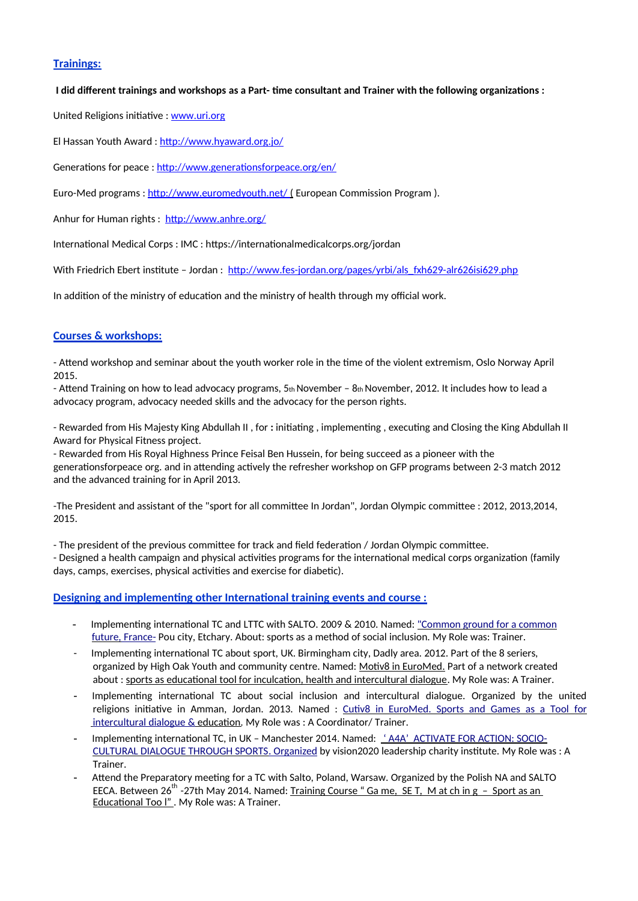# **Trainings:**

### I did different trainings and workshops as a Part- time consultant and Trainer with the following organizations:

United Religions initiative : [www.uri.org](http://www.uri.org/)

El Hassan Youth Award : <http://www.hyaward.org.jo/>

Generations for peace : <http://www.generationsforpeace.org/en/>

Euro-Med programs : [http://www.euromedyouth.net/ \(](http://www.euromedyouth.net/)European Commission Program).

Anhur for Human rights : <http://www.anhre.org/>

International Medical Corps : IMC : https://internationalmedicalcorps.org/jordan

With Friedrich Ebert institute - Jordan: [http://www.fes-jordan.org/pages/yrbi/als\\_fxh629-alr626isi629.php](http://www.fes-jordan.org/pages/yrbi/als_fxh629-alr626isi629.php)

In addition of the ministry of education and the ministry of health through my official work.

# **Courses & workshops:**

- Attend workshop and seminar about the youth worker role in the time of the violent extremism, Oslo Norway April 2015.

- Attend Training on how to lead advocacy programs,  $5<sub>th</sub>$  November –  $8<sub>th</sub>$  November, 2012. It includes how to lead a advocacy program, advocacy needed skills and the advocacy for the person rights.

- Rewarded from His Majesty King Abdullah II , for **:** initiating , implementing , executing and Closing the King Abdullah II Award for Physical Fitness project.

- Rewarded from His Royal Highness Prince Feisal Ben Hussein, for being succeed as a pioneer with the generationsforpeace org. and in attending actively the refresher workshop on GFP programs between 2-3 match 2012 and the advanced training for in April 2013.

-The President and assistant of the "sport for all committee In Jordan", Jordan Olympic committee : 2012, 2013,2014, 2015.

- The president of the previous committee for track and field federation / Jordan Olympic committee.

- Designed a health campaign and physical activities programs for the international medical corps organization (family days, camps, exercises, physical activities and exercise for diabetic).

## **Designing and implementing other International training events and course :**

- Implementing international TC and LTTC with SALTO. 2009 & 2010. Named: ["Common ground for a common](https://www.salto-youth.net/tools/toy/profile/references/3513/edit/)  [future, France-](https://www.salto-youth.net/tools/toy/profile/references/3513/edit/) Pou city, Etchary. About: sports as a method of social inclusion. My Role was: Trainer.
- Implementing international TC about sport, UK. Birmingham city, Dadly area. 2012. Part of the 8 seriers, organized by High Oak Youth and community centre. Named: Motiv8 in EuroMed. Part of a network created about : sports as educational tool for inculcation, health and intercultural dialogue. My Role was: A Trainer.
- Implementing international TC about social inclusion and intercultural dialogue. Organized by the united religions initiative in Amman, Jordan. 2013. Named : [Cutiv8 in EuroMed. Sports and Games as a Tool for](https://www.salto-youth.net/tools/toy/profile/references/3512/edit/)  [intercultural dialogue &](https://www.salto-youth.net/tools/toy/profile/references/3512/edit/) education. My Role was : A Coordinator/ Trainer.
- Implementing international TC, in UK Manchester 2014. Named: 'AAA' ACTIVATE FOR ACTION: SOCIO- [CULTURAL DIALOGUE THROUGH SPORTS . Organized](https://www.salto-youth.net/tools/toy/profile/references/3726/edit/) by vision2020 leadership charity institute. My Role was : A Trainer.
- Attend the Preparatory meeting for a TC with Salto, Poland, Warsaw. Organized by the Polish NA and SALTO EECA. Between  $26^{th}$  -27th May 2014. Named: Training Course " Ga me, SE T, M at ch in g – Sport as an Educational Too I". My Role was: A Trainer.